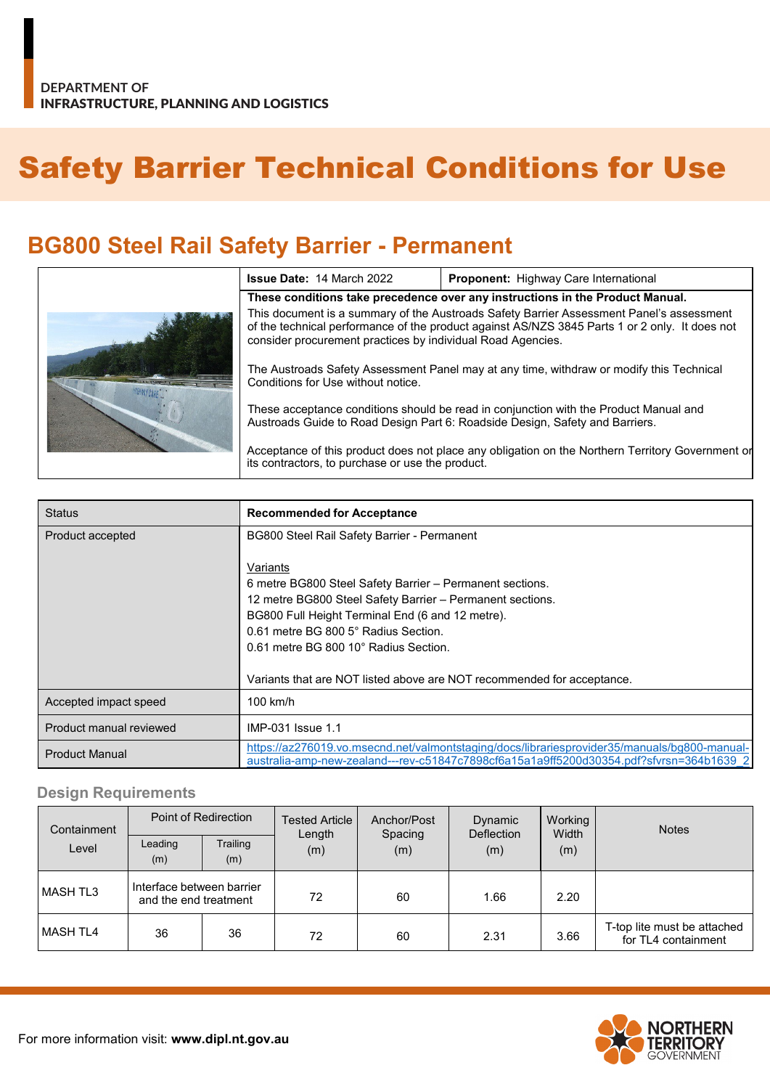# Safety Barrier Technical Conditions for Use

## **BG800 Steel Rail Safety Barrier - Permanent**

| <b>Issue Date: 14 March 2022</b>                                                                                                                                                                                                                          | Proponent: Highway Care International                                         |  |  |
|-----------------------------------------------------------------------------------------------------------------------------------------------------------------------------------------------------------------------------------------------------------|-------------------------------------------------------------------------------|--|--|
|                                                                                                                                                                                                                                                           | These conditions take precedence over any instructions in the Product Manual. |  |  |
| This document is a summary of the Austroads Safety Barrier Assessment Panel's assessment<br>of the technical performance of the product against AS/NZS 3845 Parts 1 or 2 only. It does not<br>consider procurement practices by individual Road Agencies. |                                                                               |  |  |
| The Austroads Safety Assessment Panel may at any time, withdraw or modify this Technical<br>Conditions for Use without notice.                                                                                                                            |                                                                               |  |  |
| These acceptance conditions should be read in conjunction with the Product Manual and<br>Austroads Guide to Road Design Part 6: Roadside Design, Safety and Barriers.                                                                                     |                                                                               |  |  |
| Acceptance of this product does not place any obligation on the Northern Territory Government or<br>its contractors, to purchase or use the product.                                                                                                      |                                                                               |  |  |

| <b>Status</b>           | <b>Recommended for Acceptance</b>                                                                                                                                                                                                                                                                                                                |  |
|-------------------------|--------------------------------------------------------------------------------------------------------------------------------------------------------------------------------------------------------------------------------------------------------------------------------------------------------------------------------------------------|--|
| Product accepted        | BG800 Steel Rail Safety Barrier - Permanent                                                                                                                                                                                                                                                                                                      |  |
|                         | Variants<br>6 metre BG800 Steel Safety Barrier - Permanent sections.<br>12 metre BG800 Steel Safety Barrier - Permanent sections.<br>BG800 Full Height Terminal End (6 and 12 metre).<br>0.61 metre BG 800 5° Radius Section.<br>0.61 metre BG 800 10° Radius Section.<br>Variants that are NOT listed above are NOT recommended for acceptance. |  |
| Accepted impact speed   | $100$ km/h                                                                                                                                                                                                                                                                                                                                       |  |
| Product manual reviewed | IMP-031 Issue 1.1                                                                                                                                                                                                                                                                                                                                |  |
| <b>Product Manual</b>   | https://az276019.vo.msecnd.net/valmontstaging/docs/librariesprovider35/manuals/bg800-manual-<br>australia-amp-new-zealand---rev-c51847c7898cf6a15a1a9ff5200d30354.pdf?sfyrsn=364b1639_2                                                                                                                                                          |  |

#### **Design Requirements**

| Containment<br>Level | Point of Redirection                               |                 | <b>Tested Article</b><br>Length | Anchor/Post<br>Spacing | <b>Dynamic</b><br><b>Deflection</b> | Working<br>Width | <b>Notes</b>                                       |
|----------------------|----------------------------------------------------|-----------------|---------------------------------|------------------------|-------------------------------------|------------------|----------------------------------------------------|
|                      | Leading<br>(m)                                     | Trailing<br>(m) | (m)                             | (m)                    | (m)                                 | (m)              |                                                    |
| l MASH TL3           | Interface between barrier<br>and the end treatment |                 | 72                              | 60                     | 1.66                                | 2.20             |                                                    |
| MASH TL4             | 36                                                 | 36              | 72                              | 60                     | 2.31                                | 3.66             | T-top lite must be attached<br>for TL4 containment |

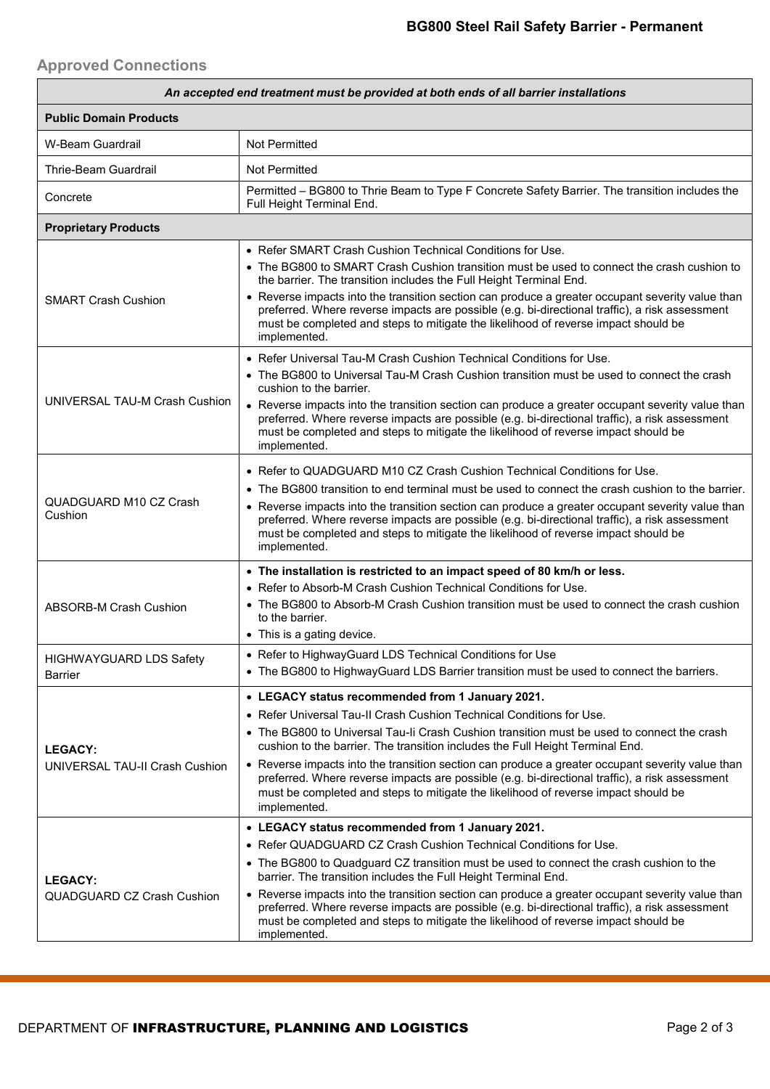#### **Approved Connections**

| An accepted end treatment must be provided at both ends of all barrier installations |                                                                                                                                                                                                                                                                                                                                                                                                                                                                                                                                                                                                                     |  |  |  |
|--------------------------------------------------------------------------------------|---------------------------------------------------------------------------------------------------------------------------------------------------------------------------------------------------------------------------------------------------------------------------------------------------------------------------------------------------------------------------------------------------------------------------------------------------------------------------------------------------------------------------------------------------------------------------------------------------------------------|--|--|--|
| <b>Public Domain Products</b>                                                        |                                                                                                                                                                                                                                                                                                                                                                                                                                                                                                                                                                                                                     |  |  |  |
| W-Beam Guardrail                                                                     | <b>Not Permitted</b>                                                                                                                                                                                                                                                                                                                                                                                                                                                                                                                                                                                                |  |  |  |
| Thrie-Beam Guardrail                                                                 | Not Permitted                                                                                                                                                                                                                                                                                                                                                                                                                                                                                                                                                                                                       |  |  |  |
| Concrete                                                                             | Permitted - BG800 to Thrie Beam to Type F Concrete Safety Barrier. The transition includes the<br>Full Height Terminal End.                                                                                                                                                                                                                                                                                                                                                                                                                                                                                         |  |  |  |
| <b>Proprietary Products</b>                                                          |                                                                                                                                                                                                                                                                                                                                                                                                                                                                                                                                                                                                                     |  |  |  |
|                                                                                      | • Refer SMART Crash Cushion Technical Conditions for Use.<br>• The BG800 to SMART Crash Cushion transition must be used to connect the crash cushion to<br>the barrier. The transition includes the Full Height Terminal End.                                                                                                                                                                                                                                                                                                                                                                                       |  |  |  |
| <b>SMART Crash Cushion</b>                                                           | • Reverse impacts into the transition section can produce a greater occupant severity value than<br>preferred. Where reverse impacts are possible (e.g. bi-directional traffic), a risk assessment<br>must be completed and steps to mitigate the likelihood of reverse impact should be<br>implemented.                                                                                                                                                                                                                                                                                                            |  |  |  |
| UNIVERSAL TAU-M Crash Cushion                                                        | • Refer Universal Tau-M Crash Cushion Technical Conditions for Use.<br>• The BG800 to Universal Tau-M Crash Cushion transition must be used to connect the crash                                                                                                                                                                                                                                                                                                                                                                                                                                                    |  |  |  |
|                                                                                      | cushion to the barrier.<br>• Reverse impacts into the transition section can produce a greater occupant severity value than<br>preferred. Where reverse impacts are possible (e.g. bi-directional traffic), a risk assessment<br>must be completed and steps to mitigate the likelihood of reverse impact should be<br>implemented.                                                                                                                                                                                                                                                                                 |  |  |  |
| QUADGUARD M10 CZ Crash<br>Cushion                                                    | • Refer to QUADGUARD M10 CZ Crash Cushion Technical Conditions for Use.<br>• The BG800 transition to end terminal must be used to connect the crash cushion to the barrier.<br>• Reverse impacts into the transition section can produce a greater occupant severity value than<br>preferred. Where reverse impacts are possible (e.g. bi-directional traffic), a risk assessment<br>must be completed and steps to mitigate the likelihood of reverse impact should be<br>implemented.                                                                                                                             |  |  |  |
| <b>ABSORB-M Crash Cushion</b>                                                        | • The installation is restricted to an impact speed of 80 km/h or less.<br>• Refer to Absorb-M Crash Cushion Technical Conditions for Use.<br>• The BG800 to Absorb-M Crash Cushion transition must be used to connect the crash cushion<br>to the barrier.<br>• This is a gating device.                                                                                                                                                                                                                                                                                                                           |  |  |  |
| <b>HIGHWAYGUARD LDS Safety</b><br>Barrier                                            | • Refer to HighwayGuard LDS Technical Conditions for Use<br>• The BG800 to HighwayGuard LDS Barrier transition must be used to connect the barriers.                                                                                                                                                                                                                                                                                                                                                                                                                                                                |  |  |  |
| <b>LEGACY:</b><br>UNIVERSAL TAU-II Crash Cushion                                     | • LEGACY status recommended from 1 January 2021.<br>• Refer Universal Tau-II Crash Cushion Technical Conditions for Use.<br>• The BG800 to Universal Tau-Ii Crash Cushion transition must be used to connect the crash<br>cushion to the barrier. The transition includes the Full Height Terminal End.<br>• Reverse impacts into the transition section can produce a greater occupant severity value than<br>preferred. Where reverse impacts are possible (e.g. bi-directional traffic), a risk assessment<br>must be completed and steps to mitigate the likelihood of reverse impact should be<br>implemented. |  |  |  |
| <b>LEGACY:</b><br>QUADGUARD CZ Crash Cushion                                         | • LEGACY status recommended from 1 January 2021.<br>• Refer QUADGUARD CZ Crash Cushion Technical Conditions for Use.<br>• The BG800 to Quadguard CZ transition must be used to connect the crash cushion to the<br>barrier. The transition includes the Full Height Terminal End.<br>• Reverse impacts into the transition section can produce a greater occupant severity value than<br>preferred. Where reverse impacts are possible (e.g. bi-directional traffic), a risk assessment<br>must be completed and steps to mitigate the likelihood of reverse impact should be<br>implemented.                       |  |  |  |